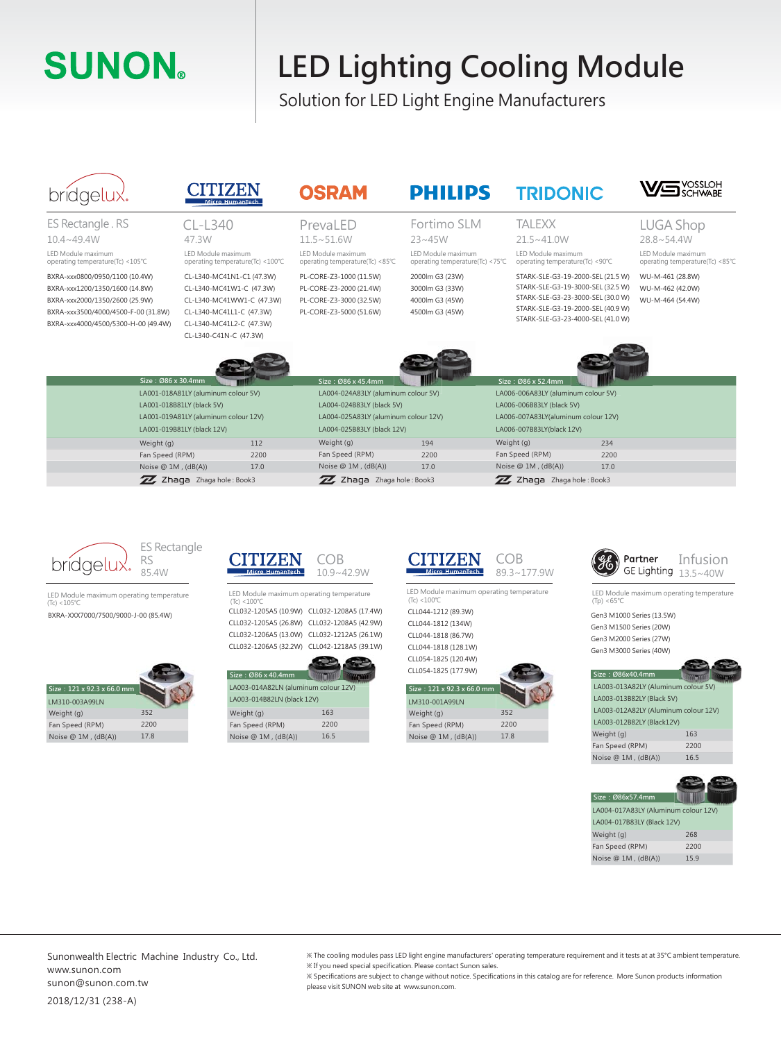# **SUNON**

## **LED Lighting Cooling Module**

Solution for LED Light Engine Manufacturers

### bridgelu>

ES Rectangle . RS 10.4~49.4W

LED Module maximum operating temperature(Tc) <105℃

#### **CITIZEN**

LED Module maximum 47.3W CL-L340

### **OSRAM**

LED Module maximum operating temperature(Tc) <85℃ PrevaLED  $11.5 \times 51.6W$ PL-CORE-Z3-1000 (11.5W) PL-CORE-Z3-2000 (21.4W)

Fortimo SLM  $23 - 45W$ 

**PHILIPS** 

#### LED Module maximum operating temperature(Tc) <75℃ 2000lm G3 (23W) 3000lm G3 (33W) 4000lm G3 (45W) 4500lm G3 (45W)

TALEXX

operating temperature(Tc) <90℃  $21.5 - 41.0W$ 

**TRIDONIC** 

LUGA Shop 28.8~54.4W

**VS** YOSSLOH

LED Module maximum operating temperature(Tc) <85℃

| LED Module maximum<br>operating temperature(Tc) <105°C                                                                                                                           |                                                                                                 | LED Module maximum<br>operating temperature(Tc) <100℃                                                                                                                | LED Module maximum<br>operating temperature(Tc) <85°C                                                                                                                                                                                | LED Module maximum<br>operating temperature(Tc) <75°C                                                                                                                                                                                                                                                                                                                                                                                                                                                                                | LED Module maximum<br>operating temperature(Tc) <90°C                                                                                                                                 |                                                                                                                            | LED Module maximum<br>operating temperature(Tc) <85°C                                                        |
|----------------------------------------------------------------------------------------------------------------------------------------------------------------------------------|-------------------------------------------------------------------------------------------------|----------------------------------------------------------------------------------------------------------------------------------------------------------------------|--------------------------------------------------------------------------------------------------------------------------------------------------------------------------------------------------------------------------------------|--------------------------------------------------------------------------------------------------------------------------------------------------------------------------------------------------------------------------------------------------------------------------------------------------------------------------------------------------------------------------------------------------------------------------------------------------------------------------------------------------------------------------------------|---------------------------------------------------------------------------------------------------------------------------------------------------------------------------------------|----------------------------------------------------------------------------------------------------------------------------|--------------------------------------------------------------------------------------------------------------|
| BXRA-xxx0800/0950/1100 (10.4W)<br>BXRA-xxx1200/1350/1600 (14.8W)<br>BXRA-xxx2000/1350/2600 (25.9W)<br>BXRA-xxx3500/4000/4500-F-00 (31.8W)<br>BXRA-xxx4000/4500/5300-H-00 (49.4W) |                                                                                                 | CL-L340-MC41N1-C1 (47.3W)<br>CL-L340-MC41W1-C (47.3W)<br>CL-L340-MC41WW1-C (47.3W)<br>CL-L340-MC41L1-C (47.3W)<br>CL-L340-MC41L2-C (47.3W)<br>CL-L340-C41N-C (47.3W) | PL-CORE-Z3-1000 (11.5W)<br>PL-CORE-Z3-2000 (21.4W)<br>PL-CORE-Z3-3000 (32.5W)<br>PL-CORE-Z3-5000 (51.6W)                                                                                                                             | 2000lm G3 (23W)<br>3000lm G3 (33W)<br>4000lm G3 (45W)<br>4500lm G3 (45W)                                                                                                                                                                                                                                                                                                                                                                                                                                                             | STARK-SLE-G3-19-2000-SEL (21.5 W)<br>STARK-SLE-G3-19-3000-SEL (32.5 W)<br>STARK-SLE-G3-23-3000-SEL (30.0 W)<br>STARK-SLE-G3-19-2000-SEL (40.9 W)<br>STARK-SLE-G3-23-4000-SEL (41.0 W) |                                                                                                                            | WU-M-461 (28.8W)<br>WU-M-462 (42.0W)<br>WU-M-464 (54.4W)                                                     |
|                                                                                                                                                                                  | Size: Ø86 x 30.4mm<br>LA001-018A81LY (aluminum colour 5V)                                       |                                                                                                                                                                      | Size: Ø86 x 45.4mm<br>LA004-024A83LY (aluminum colour 5V)                                                                                                                                                                            |                                                                                                                                                                                                                                                                                                                                                                                                                                                                                                                                      | Size: Ø86 x 52.4mm<br>LA006-006A83LY (aluminum colour 5V)                                                                                                                             |                                                                                                                            |                                                                                                              |
|                                                                                                                                                                                  | LA001-018B81LY (black 5V)<br>LA001-019A81LY (aluminum colour 12V)<br>LA001-019B81LY (black 12V) |                                                                                                                                                                      | LA004-024B83LY (black 5V)<br>LA004-025A83LY (aluminum colour 12V)<br>LA004-025B83LY (black 12V)                                                                                                                                      |                                                                                                                                                                                                                                                                                                                                                                                                                                                                                                                                      | LA006-006B83LY (black 5V)<br>LA006-007A83LY(aluminum colour 12V)<br>LA006-007B83LY(black 12V)                                                                                         |                                                                                                                            |                                                                                                              |
|                                                                                                                                                                                  | Weight (g)                                                                                      | 112                                                                                                                                                                  | Weight (g)                                                                                                                                                                                                                           | 194                                                                                                                                                                                                                                                                                                                                                                                                                                                                                                                                  | Weight (g)                                                                                                                                                                            | 234                                                                                                                        |                                                                                                              |
|                                                                                                                                                                                  | Fan Speed (RPM)                                                                                 | 2200                                                                                                                                                                 | Fan Speed (RPM)                                                                                                                                                                                                                      | 2200                                                                                                                                                                                                                                                                                                                                                                                                                                                                                                                                 | Fan Speed (RPM)                                                                                                                                                                       | 2200                                                                                                                       |                                                                                                              |
|                                                                                                                                                                                  | Noise $@$ 1M, $(dB(A))$                                                                         | 17.0                                                                                                                                                                 | Noise $@$ 1M, $(dB(A))$                                                                                                                                                                                                              | 17.0                                                                                                                                                                                                                                                                                                                                                                                                                                                                                                                                 | Noise $@1M$ , $(dB(A))$                                                                                                                                                               | 17.0                                                                                                                       |                                                                                                              |
|                                                                                                                                                                                  | ZZ Zhaqa Zhaga hole: Book3                                                                      |                                                                                                                                                                      | ZZ Zhaqa Zhaqa hole: Book3                                                                                                                                                                                                           |                                                                                                                                                                                                                                                                                                                                                                                                                                                                                                                                      | ZZ Zhaqa Zhaqa hole: Book3                                                                                                                                                            |                                                                                                                            |                                                                                                              |
| gelu;                                                                                                                                                                            | <b>ES Rectangle</b><br>RS<br>85.4W                                                              | TIZEN<br>Micro HumanTech                                                                                                                                             | COB<br>$10.9 - 42.9W$                                                                                                                                                                                                                | TIZEN<br>Micro HumanTech                                                                                                                                                                                                                                                                                                                                                                                                                                                                                                             | <b>COB</b><br>$89.3 \times 177.9W$                                                                                                                                                    |                                                                                                                            | Partner<br>Infusion<br><b>GE Lighting</b><br>$13.5 - 40W$                                                    |
| LED Module maximum operating temperature<br>$(Tc) < 105^{\circ}C$<br>BXRA-XXX7000/7500/9000-J-00 (85.4W)<br>$\frac{1}{2}$ $\frac{1}{2}$ 121 v 92 3 v 66 0 mm                     |                                                                                                 | $(Tc) < 100^{\circ}C$<br>Size: Ø86 x 40.4mm<br>LA003-014A82LN (aluminum colour 12V)                                                                                  | LED Module maximum operating temperature<br>CLL032-1205A5 (10.9W) CLL032-1208A5 (17.4W)<br>CLL032-1205A5 (26.8W) CLL032-1208A5 (42.9W)<br>CLL032-1206A5 (13.0W) CLL032-1212A5 (26.1W)<br>CLL032-1206A5 (32.2W) CLL042-1218A5 (39.1W) | LED Module maximum operating temperature<br>$(Tc) < 100^{\circ}C$<br>CLL044-1212 (89.3W)<br>CLL044-1812 (134W)<br>CLL044-1818 (86.7W)<br>CLL044-1818 (128.1W)<br>CLL054-1825 (120.4W)<br>CLL054-1825 (177.9W)<br>$\frac{1}{2}$ $\frac{1}{2}$ $\frac{1}{2}$ $\frac{1}{2}$ $\frac{1}{2}$ $\frac{1}{2}$ $\frac{1}{2}$ $\frac{1}{2}$ $\frac{1}{2}$ $\frac{1}{2}$ $\frac{1}{2}$ $\frac{1}{2}$ $\frac{1}{2}$ $\frac{1}{2}$ $\frac{1}{2}$ $\frac{1}{2}$ $\frac{1}{2}$ $\frac{1}{2}$ $\frac{1}{2}$ $\frac{1}{2}$ $\frac{1}{2}$ $\frac{1}{2}$ |                                                                                                                                                                                       | $(Tp) < 65^{\circ}$ C<br>Gen3 M1500 Series (20W)<br>Gen3 M2000 Series (27W)<br>Gen3 M3000 Series (40W)<br>Size: Ø86x40.4mm | LED Module maximum operating temperature<br>Gen3 M1000 Series (13.5W)<br>LA003-013A82LY (Aluminum colour 5V) |
|                                                                                                                                                                                  |                                                                                                 |                                                                                                                                                                      |                                                                                                                                                                                                                                      |                                                                                                                                                                                                                                                                                                                                                                                                                                                                                                                                      |                                                                                                                                                                                       |                                                                                                                            |                                                                                                              |



| Size: 121 x 92.3 x 66.0 mm |      |
|----------------------------|------|
| LM310-003A99LN             |      |
| Weight (g)                 | 352  |
| Fan Speed (RPM)            | 2200 |
| Noise $@$ 1M, $(dB(A))$    | 17.8 |



| Size: Ø86 x 40.4mm                   |      |
|--------------------------------------|------|
| LA003-014A82LN (aluminum colour 12V) |      |
| LA003-014B82LN (black 12V)           |      |
| Weight (g)                           | 163  |
| Fan Speed (RPM)                      | 2200 |
| Noise $@$ 1M, $(dB(A))$              | 16.5 |



| Size: 121 x 92.3 x 66.0 mm |      |
|----------------------------|------|
| LM310-001A99LN             |      |
| Weight (g)                 | 352  |
| Fan Speed (RPM)            | 2200 |
| Noise $@$ 1M, $(dB(A))$    | 17.8 |



| Size: Ø86x40.4mm                     |      |  |  |  |
|--------------------------------------|------|--|--|--|
| LA003-013A82LY (Aluminum colour 5V)  |      |  |  |  |
| LA003-013B82LY (Black 5V)            |      |  |  |  |
| LA003-012A82LY (Aluminum colour 12V) |      |  |  |  |
| LA003-012B82LY (Black12V)            |      |  |  |  |
| Weight (g)                           | 163  |  |  |  |
| Fan Speed (RPM)                      | 2200 |  |  |  |
| Noise $@$ 1M, $(dB(A))$              | 16.5 |  |  |  |

| Size: Ø86x57.4mm                     |      |
|--------------------------------------|------|
| LA004-017A83LY (Aluminum colour 12V) |      |
| LA004-017B83LY (Black 12V)           |      |
| Weight (g)                           | 268  |
| Fan Speed (RPM)                      | 2200 |
| Noise $@$ 1M, $(dB(A))$              | 15.9 |

Sunonwealth Electric Machine Industry Co., Ltd. www.sunon.com sunon@sunon.com.tw

※ The cooling modules pass LED light engine manufacturers' operating temperature requirement and it tests at at 35°C ambient temperature. ※ If you need special specification. Please contact Sunon sales.

※ Specifications are subject to change without notice. Specifications in this catalog are for reference. More Sunon products information please visit SUNON web site at www.sunon.com.